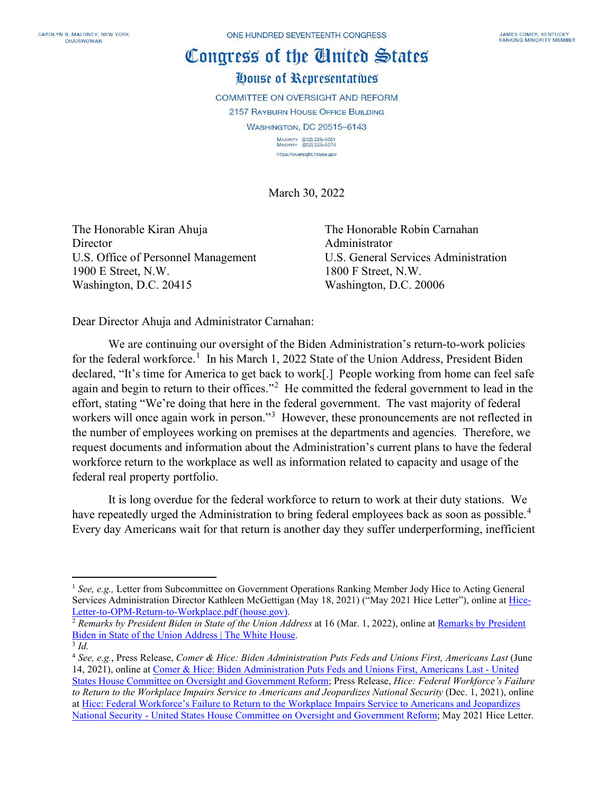## Congress of the Cluited States House of Representatives

**COMMITTEE ON OVERSIGHT AND REFORM 2157 RAYBURN HOUSE OFFICE BUILDING WASHINGTON, DC 20515-6143** MAJORITY (202) 225-5051<br>MINORITY (202) 225-5074

https://oversight.house.gov

March 30, 2022

The Honorable Kiran Ahuja The Honorable Robin Carnahan Director Administrator U.S. Office of Personnel Management U.S. General Services Administration 1900 E Street, N.W. 1800 F Street, N.W. Washington, D.C. 20415 Washington, D.C. 20006

Dear Director Ahuja and Administrator Carnahan:

We are continuing our oversight of the Biden Administration's return-to-work policies for the federal workforce.<sup>[1](#page-0-0)</sup> In his March 1, 2022 State of the Union Address, President Biden declared, "It's time for America to get back to work[.] People working from home can feel safe again and begin to return to their offices."<sup>[2](#page-0-1)</sup> He committed the federal government to lead in the effort, stating "We're doing that here in the federal government. The vast majority of federal workers will once again work in person."<sup>[3](#page-0-2)</sup> However, these pronouncements are not reflected in the number of employees working on premises at the departments and agencies. Therefore, we request documents and information about the Administration's current plans to have the federal workforce return to the workplace as well as information related to capacity and usage of the federal real property portfolio.

It is long overdue for the federal workforce to return to work at their duty stations. We have repeatedly urged the Administration to bring federal employees back as soon as possible.<sup>[4](#page-0-3)</sup> Every day Americans wait for that return is another day they suffer underperforming, inefficient

<span id="page-0-0"></span><sup>&</sup>lt;sup>1</sup> See, e.g., Letter from Subcommittee on Government Operations Ranking Member Jody Hice to Acting General Services Administration Director Kathleen McGettigan (May 18, 2021) ("May 2021 Hice Letter"), online a[t Hice-](https://republicans-oversight.house.gov/wp-content/uploads/2021/05/Hice-Letter-to-OPM-Return-to-Workplace.pdf)[Letter-to-OPM-Return-to-Workplace.pdf \(house.gov\).](https://republicans-oversight.house.gov/wp-content/uploads/2021/05/Hice-Letter-to-OPM-Return-to-Workplace.pdf)

<span id="page-0-1"></span><sup>&</sup>lt;sup>2</sup> *Remarks by President Biden in State of the Union Address* at 16 (Mar. 1, 2022), online at *Remarks by President* [Biden in State of the Union Address | The White House.](https://www.whitehouse.gov/briefing-room/speeches-remarks/2022/03/02/remarks-by-president-biden-in-state-of-the-union-address/)

<span id="page-0-2"></span><sup>3</sup> *Id.*

<span id="page-0-3"></span><sup>4</sup> *See, e.g.*, Press Release, *Comer & Hice: Biden Administration Puts Feds and Unions First, Americans Last* (June 14, 2021), online a[t Comer & Hice: Biden Administration Puts Feds and Unions First, Americans Last -](https://republicans-oversight.house.gov/release/comer-hice-biden-administration-puts-feds-and-unions-first-americans-last/) United [States House Committee on Oversight and Government Reform;](https://republicans-oversight.house.gov/release/comer-hice-biden-administration-puts-feds-and-unions-first-americans-last/) Press Release, *Hice: Federal Workforce's Failure to Return to the Workplace Impairs Service to Americans and Jeopardizes National Security* (Dec. 1, 2021), online at Hice: Federal Workforce's [Failure to Return to the Workplace Impairs Service to Americans and Jeopardizes](https://republicans-oversight.house.gov/release/hice-federal-workforces-failure-to-return-to-the-workplace-impairs-service-to-americans-and-jeopardizes-national-security/)  National Security - [United States House Committee on Oversight and Government Reform;](https://republicans-oversight.house.gov/release/hice-federal-workforces-failure-to-return-to-the-workplace-impairs-service-to-americans-and-jeopardizes-national-security/) May 2021 Hice Letter.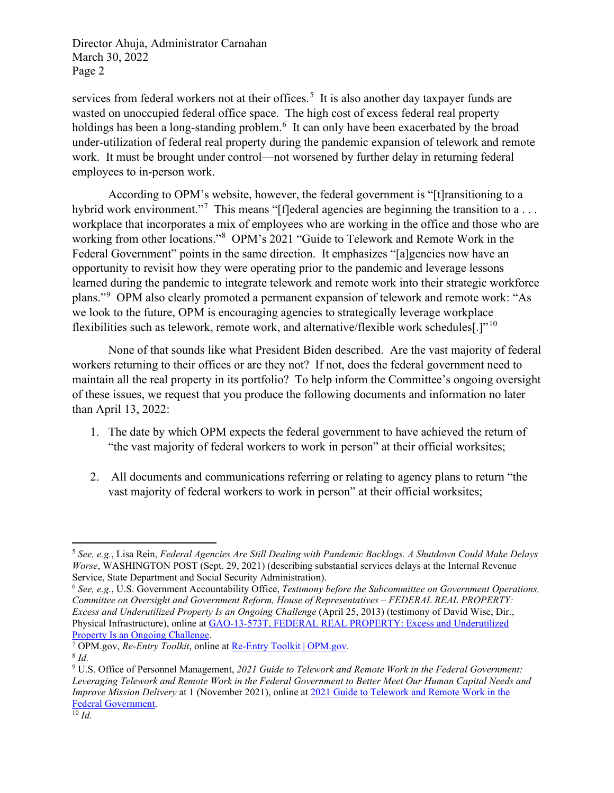Director Ahuja, Administrator Carnahan March 30, 2022 Page 2

services from federal workers not at their offices.<sup>[5](#page-1-0)</sup> It is also another day taxpayer funds are wasted on unoccupied federal office space. The high cost of excess federal real property holdings has been a long-standing problem.<sup>[6](#page-1-1)</sup> It can only have been exacerbated by the broad under-utilization of federal real property during the pandemic expansion of telework and remote work. It must be brought under control—not worsened by further delay in returning federal employees to in-person work.

According to OPM's website, however, the federal government is "[t]ransitioning to a hybrid work environment."<sup>[7](#page-1-2)</sup> This means "[f]ederal agencies are beginning the transition to a... workplace that incorporates a mix of employees who are working in the office and those who are working from other locations."[8](#page-1-3) OPM's 2021 "Guide to Telework and Remote Work in the Federal Government" points in the same direction. It emphasizes "[a]gencies now have an opportunity to revisit how they were operating prior to the pandemic and leverage lessons learned during the pandemic to integrate telework and remote work into their strategic workforce plans."<sup>[9](#page-1-4)</sup> OPM also clearly promoted a permanent expansion of telework and remote work: "As we look to the future, OPM is encouraging agencies to strategically leverage workplace flexibilities such as telework, remote work, and alternative/flexible work schedules[.]"<sup>[10](#page-1-5)</sup>

None of that sounds like what President Biden described. Are the vast majority of federal workers returning to their offices or are they not? If not, does the federal government need to maintain all the real property in its portfolio? To help inform the Committee's ongoing oversight of these issues, we request that you produce the following documents and information no later than April 13, 2022:

- 1. The date by which OPM expects the federal government to have achieved the return of "the vast majority of federal workers to work in person" at their official worksites;
- 2. All documents and communications referring or relating to agency plans to return "the vast majority of federal workers to work in person" at their official worksites;

<span id="page-1-0"></span><sup>5</sup> *See, e.g.*, Lisa Rein, *Federal Agencies Are Still Dealing with Pandemic Backlogs. A Shutdown Could Make Delays Worse*, WASHINGTON POST (Sept. 29, 2021) (describing substantial services delays at the Internal Revenue Service, State Department and Social Security Administration).

<span id="page-1-1"></span><sup>6</sup> *See, e.g.*, U.S. Government Accountability Office, *Testimony before the Subcommittee on Government Operations, Committee on Oversight and Government Reform, House of Representatives – FEDERAL REAL PROPERTY: Excess and Underutilized Property Is an Ongoing Challenge* (April 25, 2013) (testimony of David Wise, Dir., Physical Infrastructure), online at [GAO-13-573T, FEDERAL REAL PROPERTY: Excess and Underutilized](https://www.gao.gov/assets/gao-13-573t.pdf)  [Property Is an Ongoing Challenge.](https://www.gao.gov/assets/gao-13-573t.pdf) 7 OPM.gov, *Re-Entry Toolkit*, online at [Re-Entry Toolkit | OPM.gov.](https://www.opm.gov/policy-data-oversight/future-of-work/re-entry-toolkit/)

<span id="page-1-3"></span><span id="page-1-2"></span><sup>8</sup> *Id.*

<span id="page-1-5"></span><span id="page-1-4"></span><sup>9</sup> U.S. Office of Personnel Management, *2021 Guide to Telework and Remote Work in the Federal Government: Leveraging Telework and Remote Work in the Federal Government to Better Meet Our Human Capital Needs and Improve Mission Delivery* at 1 (November 2021), online at 2021 [Guide to Telework and Remote Work in the](https://www.telework.gov/guidance-legislation/telework-guidance/telework-guide/guide-to-telework-in-the-federal-government.pdf)  [Federal Government.](https://www.telework.gov/guidance-legislation/telework-guidance/telework-guide/guide-to-telework-in-the-federal-government.pdf)